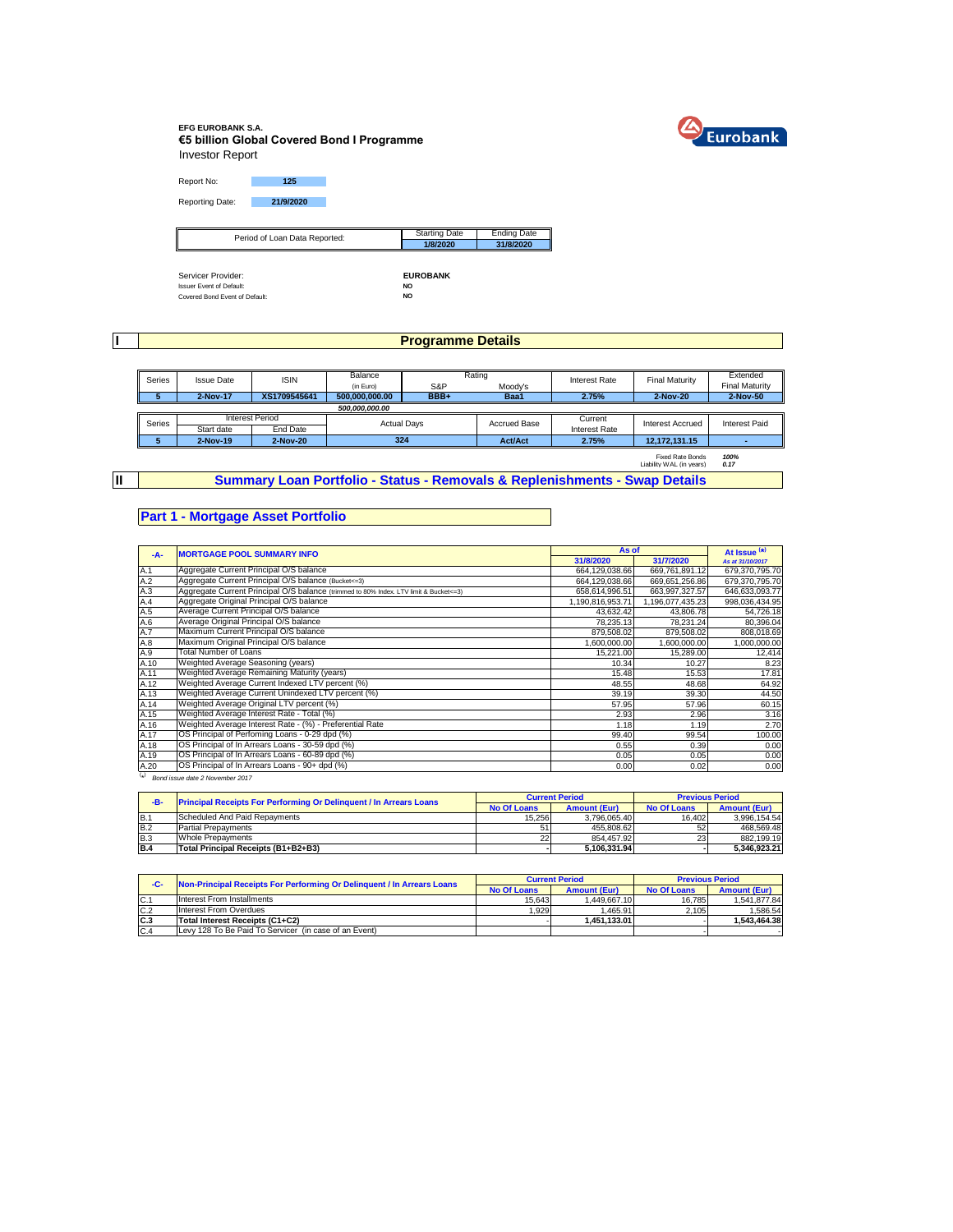

### **EFG EUROBANK S.A. €5 billion Global Covered Bond I Programme** Investor Report

Report No: **125** Reporting Date: **21/9/2020**

| Period of Loan Data Reported:   | <b>Starting Date</b> | <b>Ending Date</b> |
|---------------------------------|----------------------|--------------------|
| ∥                               | 1/8/2020             | 31/8/2020          |
|                                 |                      |                    |
|                                 |                      |                    |
| Servicer Provider:              | <b>EUROBANK</b>      |                    |
| <b>Issuer Event of Default:</b> | <b>NO</b>            |                    |
| Covered Bond Event of Default:  | NO                   |                    |

**I**

**II**

# **Programme Details**

| Series | <b>ISIN</b><br><b>Issue Date</b> |                 | Rating<br>Balance  |                       |         | <b>Interest Rate</b> | <b>Final Maturity</b>                               | Extended              |                     |         |                         |               |
|--------|----------------------------------|-----------------|--------------------|-----------------------|---------|----------------------|-----------------------------------------------------|-----------------------|---------------------|---------|-------------------------|---------------|
|        |                                  |                 | (in Euro)          | S&P                   | Moodv's |                      |                                                     | <b>Final Maturity</b> |                     |         |                         |               |
|        | 2-Nov-17                         | XS1709545641    | 500.000.000.00     | BBB+                  | Baa1    | 2.75%                | 2-Nov-20                                            | 2-Nov-50              |                     |         |                         |               |
|        | 500,000,000.00                   |                 |                    |                       |         |                      |                                                     |                       |                     |         |                         |               |
| Series |                                  | Interest Period | <b>Actual Days</b> |                       |         |                      |                                                     |                       | <b>Accrued Base</b> | Current | <b>Interest Accrued</b> | Interest Paid |
|        | Start date                       | End Date        |                    |                       |         | Interest Rate        |                                                     |                       |                     |         |                         |               |
|        | 2-Nov-19                         | 2-Nov-20        |                    | 324<br><b>Act/Act</b> |         | 2.75%                | 12.172.131.15                                       |                       |                     |         |                         |               |
|        |                                  |                 |                    |                       |         |                      | <b>Fixed Rate Bonds</b><br>Liability WAL (in years) | 100%<br>0.17          |                     |         |                         |               |

**Summary Loan Portfolio - Status - Removals & Replenishments - Swap Details**

## **Part 1 - Mortgage Asset Portfolio**

| $-A-$     | <b>MORTGAGE POOL SUMMARY INFO</b>                                                       | As of            |                  | At Issue <sup>(*)</sup> |
|-----------|-----------------------------------------------------------------------------------------|------------------|------------------|-------------------------|
|           | Aggregate Current Principal O/S balance                                                 |                  | 31/7/2020        | As at 31/10/2017        |
| A.1       |                                                                                         | 664,129,038.66   | 669,761,891.12   | 679,370,795.70          |
| A.2       | Aggregate Current Principal O/S balance (Bucket<=3)                                     | 664,129,038.66   | 669.651.256.86   | 679.370.795.70          |
| A.3       | Aggregate Current Principal O/S balance (trimmed to 80% Index. LTV limit & Bucket <= 3) | 658,614,996.51   | 663,997,327.57   | 646,633,093.77          |
| A.4       | Aggregate Original Principal O/S balance                                                | 1,190,816,953.71 | 1,196,077,435.23 | 998,036,434.95          |
| A.5       | Average Current Principal O/S balance                                                   | 43,632.42        | 43.806.78        | 54,726.18               |
| A.6       | Average Original Principal O/S balance                                                  | 78,235.13        | 78.231.24        | 80,396.04               |
| A.7       | Maximum Current Principal O/S balance                                                   | 879,508.02       | 879,508.02       | 808,018.69              |
| A.8       | Maximum Original Principal O/S balance                                                  | 1,600,000.00     | 1,600,000.00     | 1,000,000.00            |
| A.9       | <b>Total Number of Loans</b>                                                            | 15,221.00        | 15,289.00        | 12,414                  |
| A.10      | Weighted Average Seasoning (years)                                                      | 10.34            | 10.27            | 8.23                    |
| A.11      | Weighted Average Remaining Maturity (years)                                             | 15.48            | 15.53            | 17.81                   |
| A.12      | Weighted Average Current Indexed LTV percent (%)                                        | 48.55            | 48.68            | 64.92                   |
| A.13      | Weighted Average Current Unindexed LTV percent (%)                                      | 39.19            | 39.30            | 44.50                   |
| A.14      | Weighted Average Original LTV percent (%)                                               | 57.95            | 57.96            | 60.15                   |
| A.15      | Weighted Average Interest Rate - Total (%)                                              | 2.93             | 2.96             | 3.16                    |
| A.16      | Weighted Average Interest Rate - (%) - Preferential Rate                                | 1.18             | 1.19             | 2.70                    |
| A.17      | OS Principal of Perfoming Loans - 0-29 dpd (%)                                          | 99.40            | 99.54            | 100.00                  |
| A.18      | OS Principal of In Arrears Loans - 30-59 dpd (%)                                        | 0.55             | 0.39             | 0.00                    |
| A.19      | OS Principal of In Arrears Loans - 60-89 dpd (%)                                        | 0.05             | 0.05             | 0.00                    |
| A.20      | OS Principal of In Arrears Loans - 90+ dpd (%)                                          | 0.00             | 0.02             | 0.00                    |
| $(\star)$ | Bond issue date 2 November 2017                                                         |                  |                  |                         |

|            | -B-<br><b>Principal Receipts For Performing Or Delinquent / In Arrears Loans</b> |                    | <b>Current Period</b> | <b>Previous Period</b> |                     |
|------------|----------------------------------------------------------------------------------|--------------------|-----------------------|------------------------|---------------------|
|            |                                                                                  | <b>No Of Loans</b> | <b>Amount (Eur)</b>   | <b>No Of Loans</b>     | <b>Amount (Eur)</b> |
| B.1        | Scheduled And Paid Repayments                                                    | 15.256             | 3.796.065.40          | 16.402                 | 3.996.154.54        |
| <b>B.2</b> | <b>Partial Prepayments</b>                                                       |                    | 455.808.62            | 52                     | 468.569.48          |
| <b>B.3</b> | <b>Whole Prepayments</b>                                                         | 221                | 854.457.92            | 23                     | 882.199.19          |
| <b>B.4</b> | Total Principal Receipts (B1+B2+B3)                                              |                    | 5.106.331.94          |                        | 5.346.923.21        |

| -C-            | Non-Principal Receipts For Performing Or Delinquent / In Arrears Loans |                    | <b>Current Period</b> | <b>Previous Period</b> |                     |  |
|----------------|------------------------------------------------------------------------|--------------------|-----------------------|------------------------|---------------------|--|
|                |                                                                        | <b>No Of Loans</b> | <b>Amount (Eur)</b>   | <b>No Of Loans</b>     | <b>Amount (Eur)</b> |  |
| $C$ .          | Interest From Installments                                             | 15.643             | 1.449.667.10          | 16.785                 | 1.541.877.84        |  |
| C.2            | <b>Interest From Overdues</b>                                          | .929               | 1.465.91              | 2.105                  | 1.586.54            |  |
| C <sub>3</sub> | Total Interest Receipts (C1+C2)                                        |                    | 1.451.133.01          |                        | .543.464.38         |  |
| C.4            | Levy 128 To Be Paid To Servicer (in case of an Event)                  |                    |                       |                        |                     |  |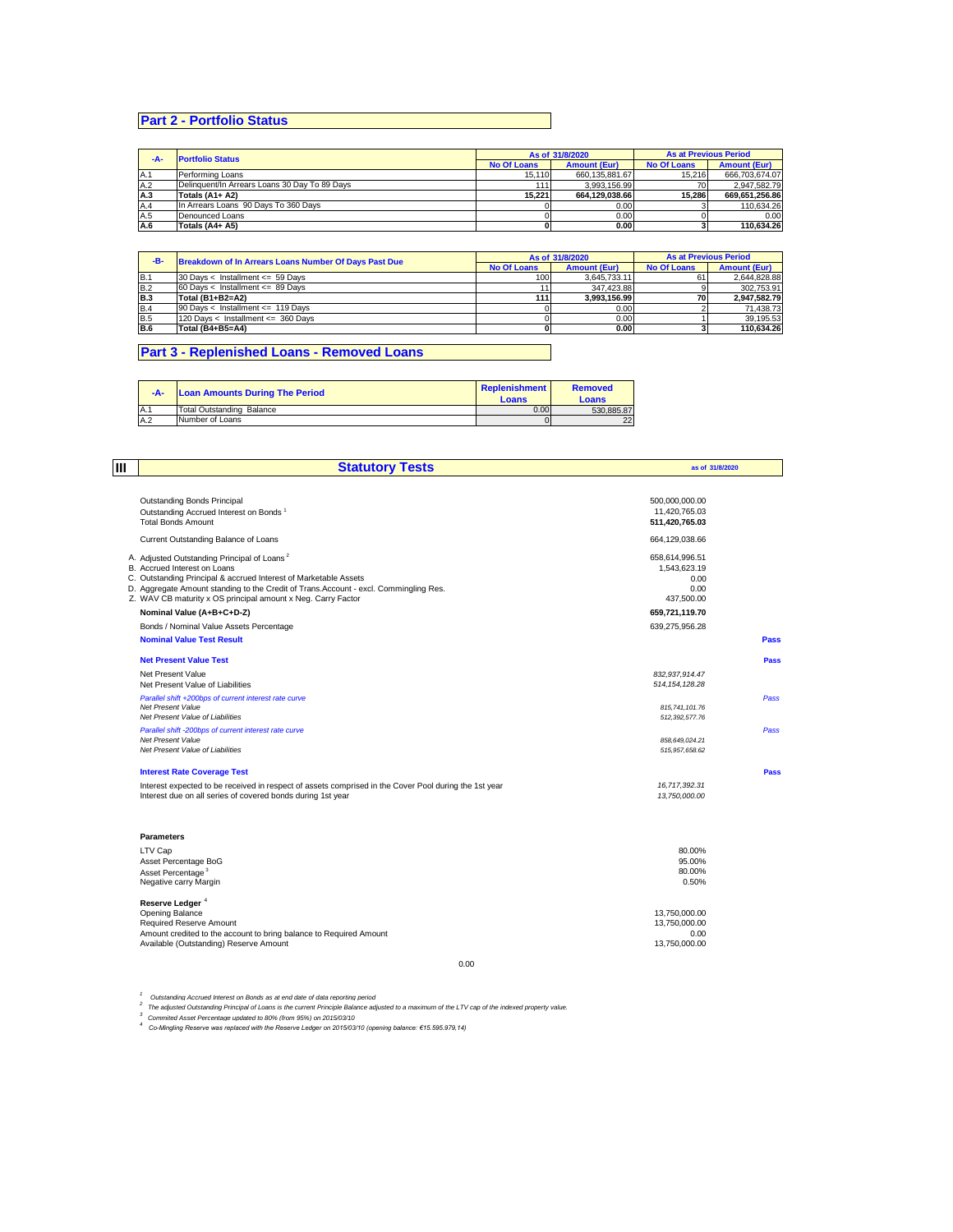# **Part 2 - Portfolio Status**

| -A- | <b>Portfolio Status</b>                       |                    | As of 31/8/2020     | <b>As at Previous Period</b> |                     |
|-----|-----------------------------------------------|--------------------|---------------------|------------------------------|---------------------|
|     |                                               | <b>No Of Loans</b> | <b>Amount (Eur)</b> | <b>No Of Loans</b>           | <b>Amount (Eur)</b> |
| A.1 | Performing Loans                              | 15.110             | 660.135.881.67      | 15.216                       | 666.703.674.07      |
| A.2 | Delinguent/In Arrears Loans 30 Day To 89 Days |                    | 3.993.156.99        |                              | 2.947.582.79        |
| A.3 | Totals (A1+ A2)                               | 15.221             | 664.129.038.66      | 15.286                       | 669.651.256.86      |
| A.4 | In Arrears Loans 90 Days To 360 Days          |                    | 0.00                |                              | 110.634.26          |
| A.5 | Denounced Loans                               |                    | 0.00                |                              | 0.00                |
| A.6 | Totals (A4+ A5)                               |                    | 0.00                |                              | 110.634.26          |

| -B-        | <b>Breakdown of In Arrears Loans Number Of Days Past Due</b> |     | As of 31/8/2020     | <b>As at Previous Period</b> |                     |
|------------|--------------------------------------------------------------|-----|---------------------|------------------------------|---------------------|
|            |                                                              |     | <b>Amount (Eur)</b> | <b>No Of Loans</b>           | <b>Amount (Eur)</b> |
| IB.        | $30$ Days < Installment <= 59 Days                           | 100 | 3.645.733.11        |                              | 2.644.828.88        |
| <b>B.2</b> | $60$ Davs < Installment <= 89 Davs                           |     | 347.423.88          |                              | 302.753.91          |
| <b>B.3</b> | Total (B1+B2=A2)                                             | 111 | 3.993.156.99        | 70                           | 2.947.582.79        |
| <b>B.4</b> | 90 Days < Installment <= 119 Days                            |     | 0.00                |                              | 71.438.73           |
| <b>B.5</b> | 120 Days < Installment <= 360 Days                           |     | 0.00                |                              | 39.195.53           |
| <b>B.6</b> | Total (B4+B5=A4)                                             |     | 0.00                |                              | 110.634.26          |

## **Part 3 - Replenished Loans - Removed Loans**

| $-A-$ | <b>Loan Amounts During The Period</b> | Replenishment<br>Loans | <b>Removed</b><br>Loans |
|-------|---------------------------------------|------------------------|-------------------------|
| A.1   | Total Outstanding Balance             | 0.00                   | 530.885.87              |
| A.2   | Number of Loans                       |                        | 22                      |

| lш | <b>Statutory Tests</b>                                                                                                                                                                                                                                                                                               | as of 31/8/2020                                              |      |
|----|----------------------------------------------------------------------------------------------------------------------------------------------------------------------------------------------------------------------------------------------------------------------------------------------------------------------|--------------------------------------------------------------|------|
|    | <b>Outstanding Bonds Principal</b><br>Outstanding Accrued Interest on Bonds <sup>1</sup><br><b>Total Bonds Amount</b>                                                                                                                                                                                                | 500.000.000.00<br>11,420,765.03<br>511,420,765.03            |      |
|    | Current Outstanding Balance of Loans                                                                                                                                                                                                                                                                                 | 664,129,038.66                                               |      |
|    | A. Adjusted Outstanding Principal of Loans <sup>2</sup><br>B. Accrued Interest on Loans<br>C. Outstanding Principal & accrued Interest of Marketable Assets<br>D. Aggregate Amount standing to the Credit of Trans. Account - excl. Commingling Res.<br>Z. WAV CB maturity x OS principal amount x Neg. Carry Factor | 658.614.996.51<br>1,543,623.19<br>0.00<br>0.00<br>437.500.00 |      |
|    | Nominal Value (A+B+C+D-Z)                                                                                                                                                                                                                                                                                            | 659,721,119.70                                               |      |
|    | Bonds / Nominal Value Assets Percentage                                                                                                                                                                                                                                                                              | 639,275,956.28                                               |      |
|    | <b>Nominal Value Test Result</b>                                                                                                                                                                                                                                                                                     |                                                              | Pass |
|    | <b>Net Present Value Test</b>                                                                                                                                                                                                                                                                                        |                                                              | Pass |
|    | Net Present Value<br>Net Present Value of Liabilities                                                                                                                                                                                                                                                                | 832,937,914.47<br>514, 154, 128.28                           |      |
|    | Parallel shift +200bps of current interest rate curve<br>Net Present Value<br>Net Present Value of Liabilities                                                                                                                                                                                                       | 815, 741, 101.76<br>512.392.577.76                           | Pass |
|    | Parallel shift -200bps of current interest rate curve<br>Net Present Value<br>Net Present Value of Liabilities                                                                                                                                                                                                       | 858.649.024.21<br>515, 957, 658.62                           | Pass |
|    | <b>Interest Rate Coverage Test</b>                                                                                                                                                                                                                                                                                   |                                                              | Pass |
|    | Interest expected to be received in respect of assets comprised in the Cover Pool during the 1st year<br>Interest due on all series of covered bonds during 1st year                                                                                                                                                 | 16,717,392.31<br>13,750,000.00                               |      |
|    | <b>Parameters</b>                                                                                                                                                                                                                                                                                                    |                                                              |      |
|    | LTV Cap                                                                                                                                                                                                                                                                                                              | 80.00%                                                       |      |
|    | Asset Percentage BoG<br>Asset Percentage <sup>3</sup>                                                                                                                                                                                                                                                                | 95.00%<br>80.00%                                             |      |
|    | Negative carry Margin                                                                                                                                                                                                                                                                                                | 0.50%                                                        |      |
|    | Reserve Ledger <sup>4</sup><br>Opening Balance<br>Required Reserve Amount<br>Amount credited to the account to bring balance to Required Amount                                                                                                                                                                      | 13,750,000.00<br>13.750.000.00<br>0.00                       |      |
|    | Available (Outstanding) Reserve Amount                                                                                                                                                                                                                                                                               | 13.750.000.00                                                |      |

0.00

<sup>1</sup> Outstanding Accrued Interest on Bonds as at end date of data reporting period<br><sup>2</sup> The adjusted Outstanding Principal of Loans is the current Principle Balance adjusted to a maximum of the LTV cap of the indexed propert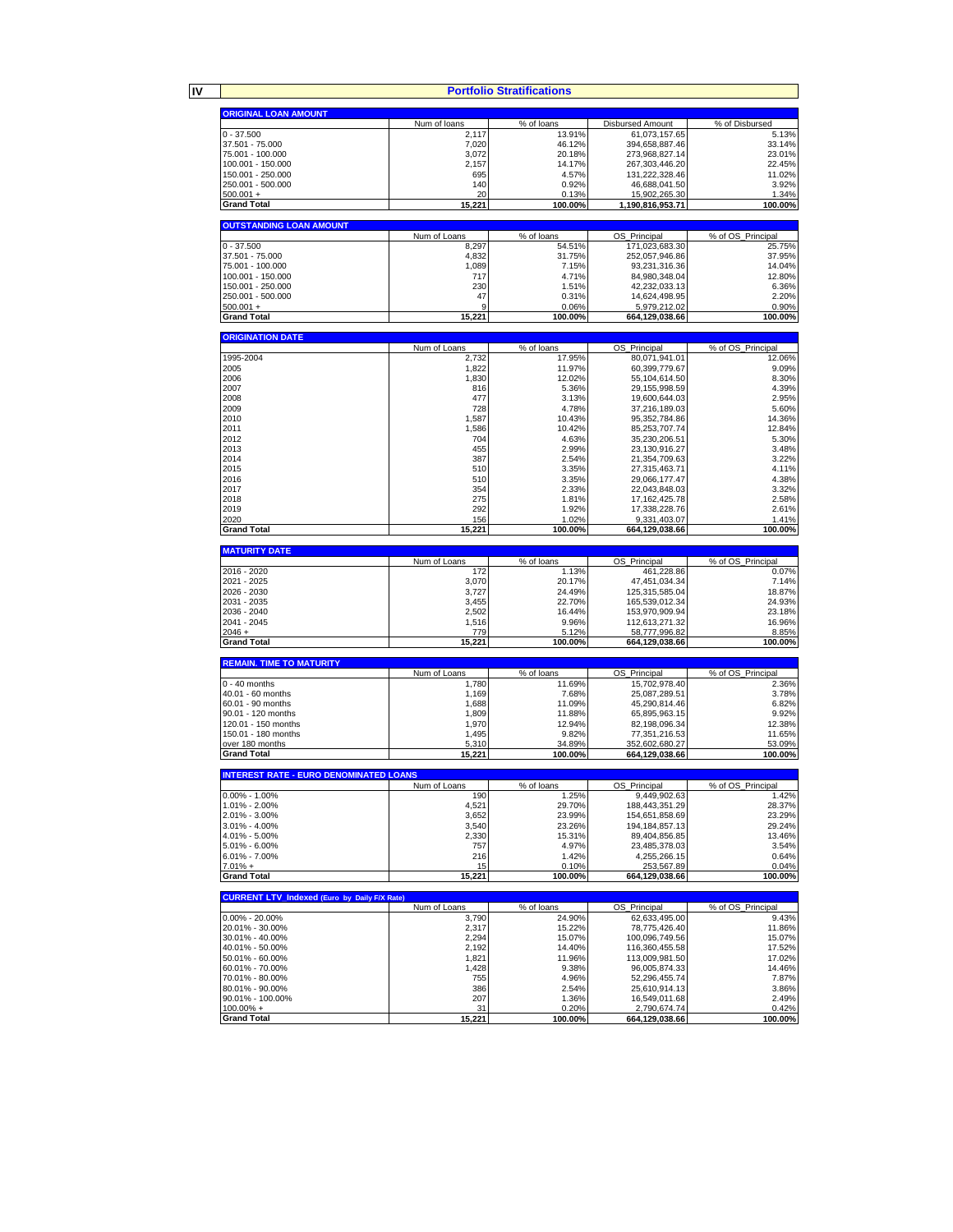**IV**

| <b>Portfolio Stratifications</b>                    |                |                  |                                 |                   |  |  |
|-----------------------------------------------------|----------------|------------------|---------------------------------|-------------------|--|--|
| <b>ORIGINAL LOAN AMOUNT</b>                         |                |                  |                                 |                   |  |  |
|                                                     | Num of loans   | % of loans       | <b>Disbursed Amount</b>         | % of Disbursed    |  |  |
| $0 - 37.500$                                        | 2,117          | 13.91%           | 61,073,157.65                   | 5.13%             |  |  |
| 37.501 - 75.000                                     | 7,020          | 46.12%           | 394,658,887.46                  | 33.14%            |  |  |
| 75.001 - 100.000                                    | 3,072          | 20.18%           | 273,968,827.14                  | 23.01%            |  |  |
| 100.001 - 150.000                                   | 2,157          | 14.17%           | 267, 303, 446. 20               | 22.45%            |  |  |
| 150.001 - 250.000                                   | 695            | 4.57%            | 131,222,328.46                  | 11.02%            |  |  |
| 250.001 - 500.000                                   | 140            | 0.92%            | 46,688,041.50                   | 3.92%             |  |  |
| $500.001 +$                                         | 20             | 0.13%            | 15,902,265.30                   | 1.34%             |  |  |
| <b>Grand Total</b>                                  | 15,221         | 100.00%          | 1,190,816,953.71                | 100.00%           |  |  |
| <b>OUTSTANDING LOAN AMOUNT</b>                      |                |                  |                                 |                   |  |  |
|                                                     | Num of Loans   | % of loans       | OS_Principal                    | % of OS_Principal |  |  |
| $0 - 37.500$                                        | 8,297          | 54.51%           | 171,023,683.30                  | 25.75%            |  |  |
| 37.501 - 75.000                                     | 4,832          | 31.75%           | 252,057,946.86                  | 37.95%            |  |  |
| 75.001 - 100.000                                    | 1,089          | 7.15%            | 93,231,316.36                   | 14.04%            |  |  |
| 100.001 - 150.000                                   | 717            | 4.71%            | 84,980,348.04                   | 12.80%            |  |  |
| 150.001 - 250.000                                   | 230            | 1.51%            | 42,232,033.13                   | 6.36%             |  |  |
| 250.001 - 500.000                                   | 47<br>g        | 0.31%            | 14,624,498.95                   | 2.20%<br>0.90%    |  |  |
| $500.001 +$<br><b>Grand Total</b>                   | 15,221         | 0.06%<br>100.00% | 5,979,212.02<br>664,129,038.66  | 100.00%           |  |  |
|                                                     |                |                  |                                 |                   |  |  |
| <b>ORIGINATION DATE</b>                             |                |                  |                                 |                   |  |  |
|                                                     | Num of Loans   | % of loans       | OS_Principal                    | % of OS_Principal |  |  |
| 1995-2004                                           | 2,732          | 17.95%           | 80,071,941.01                   | 12.06%            |  |  |
| 2005                                                | 1,822          | 11.97%           | 60,399,779.67                   | 9.09%             |  |  |
| 2006                                                | 1,830          | 12.02%           | 55,104,614.50                   | 8.30%             |  |  |
| 2007                                                | 816            | 5.36%            | 29,155,998.59                   | 4.39%             |  |  |
| 2008<br>2009                                        | 477<br>728     | 3.13%<br>4.78%   | 19,600,644.03<br>37,216,189.03  | 2.95%<br>5.60%    |  |  |
| 2010                                                | 1,587          | 10.43%           | 95,352,784.86                   | 14.36%            |  |  |
| 2011                                                | 1,586          | 10.42%           | 85,253,707.74                   | 12.84%            |  |  |
| 2012                                                | 704            | 4.63%            | 35,230,206.51                   | 5.30%             |  |  |
| 2013                                                | 455            | 2.99%            | 23,130,916.27                   | 3.48%             |  |  |
| 2014                                                | 387            | 2.54%            | 21,354,709.63                   | 3.22%             |  |  |
| 2015                                                | 510            | 3.35%            | 27,315,463.71                   | 4.11%             |  |  |
| 2016                                                | 510            | 3.35%            | 29,066,177.47                   | 4.38%             |  |  |
| 2017                                                | 354            | 2.33%            | 22,043,848.03                   | 3.32%             |  |  |
| 2018                                                | 275            | 1.81%            | 17,162,425.78                   | 2.58%             |  |  |
| 2019<br>2020                                        | 292<br>156     | 1.92%<br>1.02%   | 17,338,228.76<br>9,331,403.07   | 2.61%<br>1.41%    |  |  |
| <b>Grand Total</b>                                  | 15,221         | 100.00%          | 664,129,038.66                  | 100.00%           |  |  |
|                                                     |                |                  |                                 |                   |  |  |
| <b>MATURITY DATE</b>                                |                |                  |                                 |                   |  |  |
|                                                     | Num of Loans   | % of loans       | ОS<br>Principal                 | % of OS Principal |  |  |
| 2016 - 2020                                         | 172            | 1.13%            | 461,228.86                      | 0.07%             |  |  |
| 2021 - 2025<br>2026 - 2030                          | 3,070<br>3,727 | 20.17%<br>24.49% | 47,451,034.34<br>125,315,585.04 | 7.14%<br>18.87%   |  |  |
| 2031 - 2035                                         | 3,455          | 22.70%           | 165,539,012.34                  | 24.93%            |  |  |
| 2036 - 2040                                         | 2,502          | 16.44%           | 153,970,909.94                  | 23.18%            |  |  |
| 2041 - 2045                                         | 1,516          | 9.96%            | 112,613,271.32                  | 16.96%            |  |  |
| $2046 +$                                            | 779            | 5.12%            | 58,777,996.82                   | 8.85%             |  |  |
| <b>Grand Total</b>                                  | 15,221         | 100.00%          | 664,129,038.66                  | 100.00%           |  |  |
|                                                     |                |                  |                                 |                   |  |  |
| <b>REMAIN. TIME TO MATURITY</b>                     |                |                  |                                 |                   |  |  |
|                                                     |                |                  |                                 |                   |  |  |
|                                                     | Num of Loans   | % of loans       | OS<br>Principal                 | % of OS Principal |  |  |
| $0 - 40$ months                                     | 1,780          | 11.69%           | 15,702,978.40                   | 2.36%             |  |  |
| 40.01 - 60 months<br>60.01 - 90 months              | 1,169<br>1,688 | 7.68%<br>11.09%  | 25,087,289.51<br>45,290,814.46  | 3.78%<br>6.82%    |  |  |
| 90.01 - 120 months                                  | 1,809          | 11.88%           | 65,895,963.15                   | 9.92%             |  |  |
| 120.01 - 150 months                                 | 1,970          | 12.94%           | 82,198,096.34                   | 12.38%            |  |  |
| 150.01 - 180 months                                 | 1,495          | 9.82%            | 77,351,216.53                   | 11.65%            |  |  |
| over 180 months                                     | 5,310          | 34.89%           | 352,602,680.27                  | 53.09%            |  |  |
| <b>Grand Total</b>                                  | 15,221         | 100.00%          | 664,129,038.66                  | 100.00%           |  |  |
| <b>INTEREST RATE - EURO DENOMINATED LOANS</b>       |                |                  |                                 |                   |  |  |
|                                                     |                |                  | 'rıncıpaı                       |                   |  |  |
| $0.00\% - 1.00\%$                                   | 190            | 1.25%            | 9,449,902.63                    | 1.42%             |  |  |
| 1.01% - 2.00%                                       | 4,521          | 29.70%           | 188,443,351.29                  | 28.37%            |  |  |
| 2.01% - 3.00%                                       | 3.652          | 23.99%           | 154.651.858.69                  | 23.29%            |  |  |
| 3.01% - 4.00%                                       | 3,540          | 23.26%           | 194, 184, 857. 13               | 29.24%            |  |  |
| 4.01% - 5.00%<br>$5.01\% - 6.00\%$                  | 2,330          | 15.31%<br>4.97%  | 89,404,856.85                   | 13.46%<br>3.54%   |  |  |
| 6.01% - 7.00%                                       | 757<br>216     | 1.42%            | 23,485,378.03<br>4,255,266.15   | 0.64%             |  |  |
| $7.01% +$                                           | 15             | 0.10%            | 253,567.89                      | 0.04%             |  |  |
| <b>Grand Total</b>                                  | 15,221         | 100.00%          | 664,129,038.66                  | 100.00%           |  |  |
|                                                     |                |                  |                                 |                   |  |  |
| <b>CURRENT LTV_Indexed (Euro by Daily F/X Rate)</b> | Num of Loans   | % of loans       | OS_Principal                    | % of OS_Principal |  |  |
| $0.00\% - 20.00\%$                                  | 3,790          | 24.90%           | 62,633,495.00                   | 9.43%             |  |  |
| 20.01% - 30.00%                                     | 2,317          | 15.22%           | 78,775,426.40                   | 11.86%            |  |  |
| 30.01% - 40.00%                                     | 2,294          | 15.07%           | 100,096,749.56                  | 15.07%            |  |  |
| 40.01% - 50.00%                                     | 2,192          | 14.40%           | 116,360,455.58                  | 17.52%            |  |  |
| 50.01% - 60.00%                                     | 1,821          | 11.96%           | 113.009.981.50                  | 17.02%            |  |  |
| 60.01% - 70.00%                                     | 1,428          | 9.38%            | 96,005,874.33                   | 14.46%            |  |  |
| 70.01% - 80.00%                                     | 755            | 4.96%            | 52,296,455.74                   | 7.87%             |  |  |
| 80.01% - 90.00%                                     | 386            | 2.54%            | 25,610,914.13                   | 3.86%             |  |  |
| 90.01% - 100.00%<br>$100.00\% +$                    | 207<br>31      | 1.36%<br>0.20%   | 16,549,011.68<br>2,790,674.74   | 2.49%<br>0.42%    |  |  |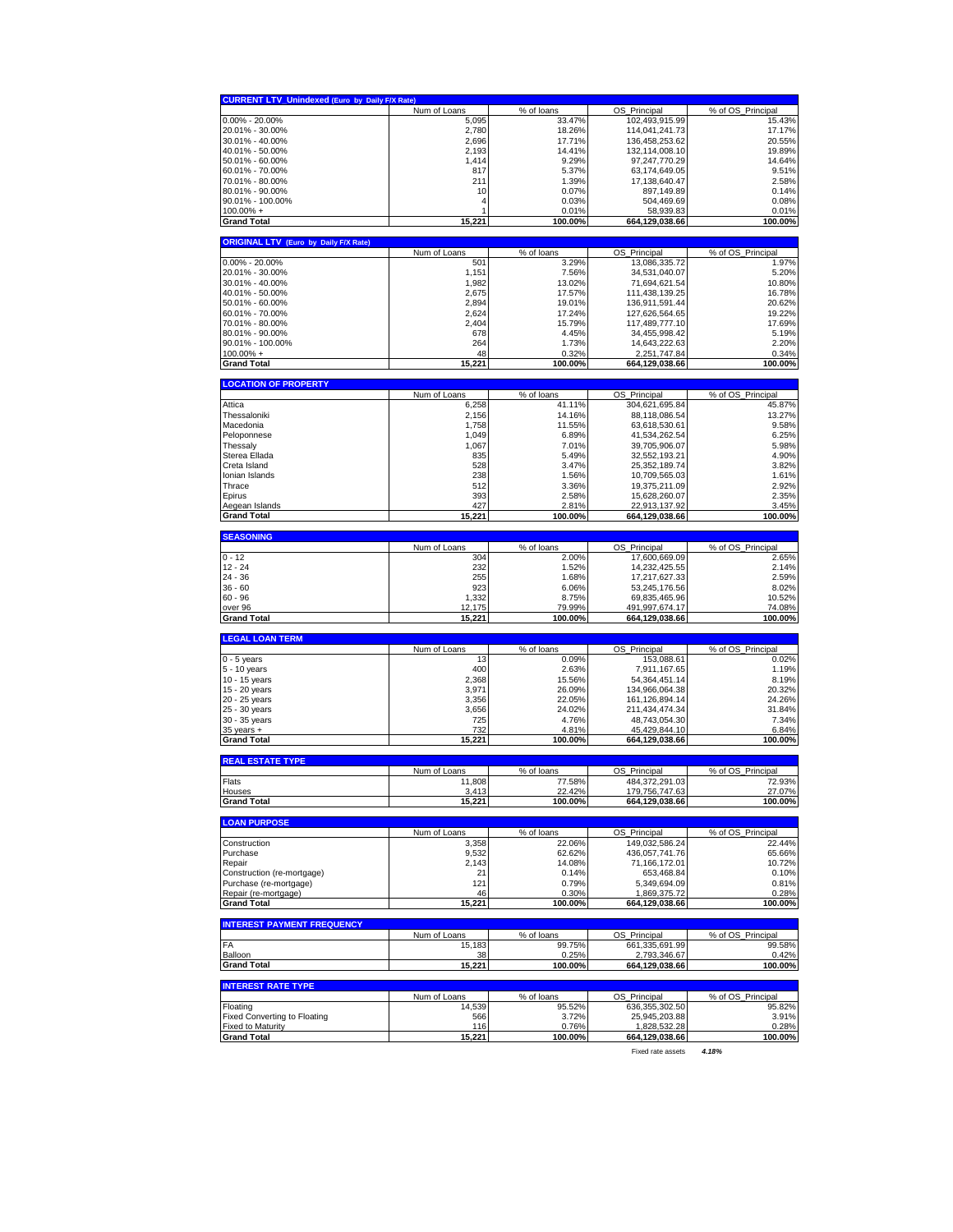|                                                          | <b>CURRENT LTV_Unindexed (Euro by Daily F/X Rate)</b> |                     |                                  |                            |
|----------------------------------------------------------|-------------------------------------------------------|---------------------|----------------------------------|----------------------------|
|                                                          | Num of Loans                                          | % of loans          | OS Principal                     | % of OS Principal          |
| $0.00\% - 20.00\%$                                       | 5,095                                                 | 33.47%              | 102,493,915.99                   | 15.43%                     |
| 20.01% - 30.00%                                          | 2,780                                                 | 18.26%              | 114,041,241.73                   | 17.17%                     |
| 30.01% - 40.00%<br>40.01% - 50.00%                       | 2,696                                                 | 17.71%              | 136,458,253.62                   | 20.55%                     |
| 50.01% - 60.00%                                          | 2,193<br>1,414                                        | 14.41%<br>9.29%     | 132,114,008.10<br>97,247,770.29  | 19.89%<br>14.64%           |
| 60.01% - 70.00%                                          | 817                                                   | 5.37%               | 63,174,649.05                    | 9.51%                      |
| 70.01% - 80.00%                                          | 211                                                   | 1.39%               | 17,138,640.47                    | 2.58%                      |
| 80.01% - 90.00%                                          | 10                                                    | 0.07%               | 897,149.89                       | 0.14%                      |
| 90.01% - 100.00%                                         | 4                                                     | 0.03%               | 504,469.69                       | 0.08%                      |
| $100.00\% +$                                             |                                                       | 0.01%               | 58,939.83                        | 0.01%                      |
| <b>Grand Total</b>                                       | 15,221                                                | 100.00%             | 664,129,038.66                   | 100.00%                    |
| <b>ORIGINAL LTV (Euro by Daily F/X Rate)</b>             |                                                       |                     |                                  |                            |
|                                                          | Num of Loans                                          | % of loans          | OS_Principal                     | % of OS_Principal          |
| $0.00\% - 20.00\%$                                       | 501                                                   | 3.29%               | 13,086,335.72                    | 1.97%                      |
| 20.01% - 30.00%                                          | 1,151                                                 | 7.56%               | 34,531,040.07                    | 5.20%                      |
| 30.01% - 40.00%                                          | 1,982                                                 | 13.02%              | 71,694,621.54                    | 10.80%                     |
| 40.01% - 50.00%                                          | 2,675                                                 | 17.57%              | 111,438,139.25                   | 16.78%                     |
| 50.01% - 60.00%                                          | 2,894                                                 | 19.01%<br>17.24%    | 136,911,591.44<br>127,626,564.65 | 20.62%                     |
| 60.01% - 70.00%<br>70.01% - 80.00%                       | 2,624<br>2,404                                        | 15.79%              | 117,489,777.10                   | 19.22%<br>17.69%           |
| 80.01% - 90.00%                                          | 678                                                   | 4.45%               | 34,455,998.42                    | 5.19%                      |
| 90.01% - 100.00%                                         | 264                                                   | 1.73%               | 14,643,222.63                    | 2.20%                      |
| $100.00\% +$                                             | 48                                                    | 0.32%               | 2,251,747.84                     | 0.34%                      |
| <b>Grand Total</b>                                       | 15,221                                                | 100.00%             | 664,129,038.66                   | 100.00%                    |
|                                                          |                                                       |                     |                                  |                            |
| <b>LOCATION OF PROPERTY</b>                              | Num of Loans                                          | % of loans          | OS Principal                     | % of OS_Principal          |
| Attica                                                   | 6,258                                                 | 41.11%              | 304,621,695.84                   | 45.87%                     |
| Thessaloniki                                             | 2,156                                                 | 14.16%              | 88,118,086.54                    | 13.27%                     |
| Macedonia                                                | 1,758                                                 | 11.55%              | 63,618,530.61                    | 9.58%                      |
| Peloponnese                                              | 1,049                                                 | 6.89%               | 41,534,262.54                    | 6.25%                      |
| Thessaly                                                 | 1,067                                                 | 7.01%               | 39,705,906.07                    | 5.98%                      |
| Sterea Ellada                                            | 835                                                   | 5.49%               | 32,552,193.21                    | 4.90%                      |
| Creta Island                                             | 528                                                   | 3.47%               | 25,352,189.74                    | 3.82%                      |
| Ionian Islands                                           | 238                                                   | 1.56%               | 10,709,565.03                    | 1.61%                      |
| Thrace                                                   | 512                                                   | 3.36%               | 19,375,211.09                    | 2.92%                      |
| Epirus<br>Aegean Islands                                 | 393<br>427                                            | 2.58%<br>2.81%      | 15,628,260.07<br>22,913,137.92   | 2.35%<br>3.45%             |
| <b>Grand Total</b>                                       | 15,221                                                | 100.00%             | 664,129,038.66                   | 100.00%                    |
|                                                          |                                                       |                     |                                  |                            |
| <b>SEASONING</b>                                         |                                                       |                     |                                  |                            |
| $0 - 12$                                                 | Num of Loans<br>304                                   | % of loans<br>2.00% | OS Principal<br>17,600,669.09    | % of OS_Principal<br>2.65% |
| 12 - 24                                                  | 232                                                   | 1.52%               | 14,232,425.55                    | 2.14%                      |
| 24 - 36                                                  | 255                                                   | 1.68%               | 17,217,627.33                    | 2.59%                      |
| $36 - 60$                                                | 923                                                   | 6.06%               | 53,245,176.56                    | 8.02%                      |
| $60 - 96$                                                | 1,332                                                 | 8.75%               | 69,835,465.96                    | 10.52%                     |
| over 96                                                  | 12,175                                                | 79.99%              | 491,997,674.17                   | 74.08%                     |
| <b>Grand Total</b>                                       | 15,221                                                | 100.00%             | 664,129,038.66                   | 100.00%                    |
| <b>LEGAL LOAN TERM</b>                                   |                                                       |                     |                                  |                            |
|                                                          | Num of Loans                                          | % of loans          | OS_Principal                     | % of OS_Principal          |
| $0 - 5$ years                                            | 13                                                    | 0.09%               | 153,088.61                       | 0.02%                      |
| 5 - 10 years                                             | 400                                                   | 2.63%               | 7,911,167.65                     | 1.19%                      |
| 10 - 15 years                                            | 2,368                                                 | 15.56%              | 54,364,451.14                    | 8.19%                      |
| 15 - 20 years                                            | 3,971                                                 | 26.09%              | 134,966,064.38                   | 20.32%                     |
| 20 - 25 years                                            | 3,356                                                 | 22.05%<br>24.02%    | 161,126,894.14                   | 24.26%                     |
| 25 - 30 years<br>30 - 35 years                           | 3,656                                                 |                     |                                  |                            |
|                                                          |                                                       |                     | 211,434,474.34                   | 31.84%                     |
|                                                          | 725                                                   | 4.76%               | 48,743,054.30                    | 7.34%                      |
| $35$ years $+$<br><b>Grand Total</b>                     | 732<br>15,221                                         | 4.81%<br>100.00%    | 45,429,844.10<br>664,129,038.66  | 6.84%<br>100.00%           |
|                                                          |                                                       |                     |                                  |                            |
| <b>REAL ESTATE TYPE</b>                                  |                                                       |                     |                                  |                            |
|                                                          | Num of Loans                                          | % of loans          | OS Principal                     | % of OS Principal          |
| Flats                                                    | 11,808<br>41.                                         | 77.58%<br>つつ<br>42% | 484,372,291.03<br>179.756.747.63 | 72.93%<br>27.07%           |
|                                                          | 15,221                                                | 100.00%             | 664,129,038.66                   | 100.00%                    |
| <b>Grand Total</b>                                       |                                                       |                     |                                  |                            |
| <b>LOAN PURPOSE</b>                                      | Num of Loans                                          | % of loans          | OS_Principal                     | % of OS Principal          |
| Construction                                             | 3,358                                                 | 22.06%              | 149,032,586.24                   | 22.44%                     |
| Purchase                                                 | 9,532                                                 | 62.62%              | 436,057,741.76                   | 65.66%                     |
| Repair                                                   | 2,143                                                 | 14.08%              | 71,166,172.01                    | 10.72%                     |
| Construction (re-mortgage)                               | 21                                                    | 0.14%               | 653,468.84                       | 0.10%                      |
| Purchase (re-mortgage)                                   | 121                                                   | 0.79%               | 5,349,694.09                     | 0.81%                      |
| Repair (re-mortgage)                                     | 46                                                    | 0.30%               | 1,869,375.72                     | 0.28%                      |
|                                                          | 15,221                                                | 100.00%             | 664,129,038.66                   | 100.00%                    |
|                                                          |                                                       |                     |                                  |                            |
| <b>Grand Total</b><br><b>INTEREST PAYMENT FREQUENCY</b>  | Num of Loans                                          | % of loans          | OS_Principal                     | % of OS_Principal          |
| FA                                                       | 15,183                                                | 99.75%              | 661,335,691.99                   | 99.58%                     |
| Balloon                                                  | 38                                                    | 0.25%               | 2.793.346.67                     | 0.42%                      |
| <b>Grand Total</b>                                       | 15,221                                                | 100.00%             | 664,129,038.66                   | 100.00%                    |
| <b>INTEREST RATE TYPE</b>                                |                                                       |                     |                                  |                            |
|                                                          | Num of Loans                                          | % of loans          | OS.<br>Principal                 | % of OS Principal          |
| Floating                                                 | 14,539                                                | 95.52%              | 636, 355, 302.50                 | 95.82%                     |
| Fixed Converting to Floating<br><b>Fixed to Maturity</b> | 566<br>116                                            | 3.72%<br>0.76%      | 25,945,203.88                    | 3.91%<br>0.28%             |
| <b>Grand Total</b>                                       | 15,221                                                | 100.00%             | 1,828,532.28<br>664,129,038.66   | 100.00%                    |